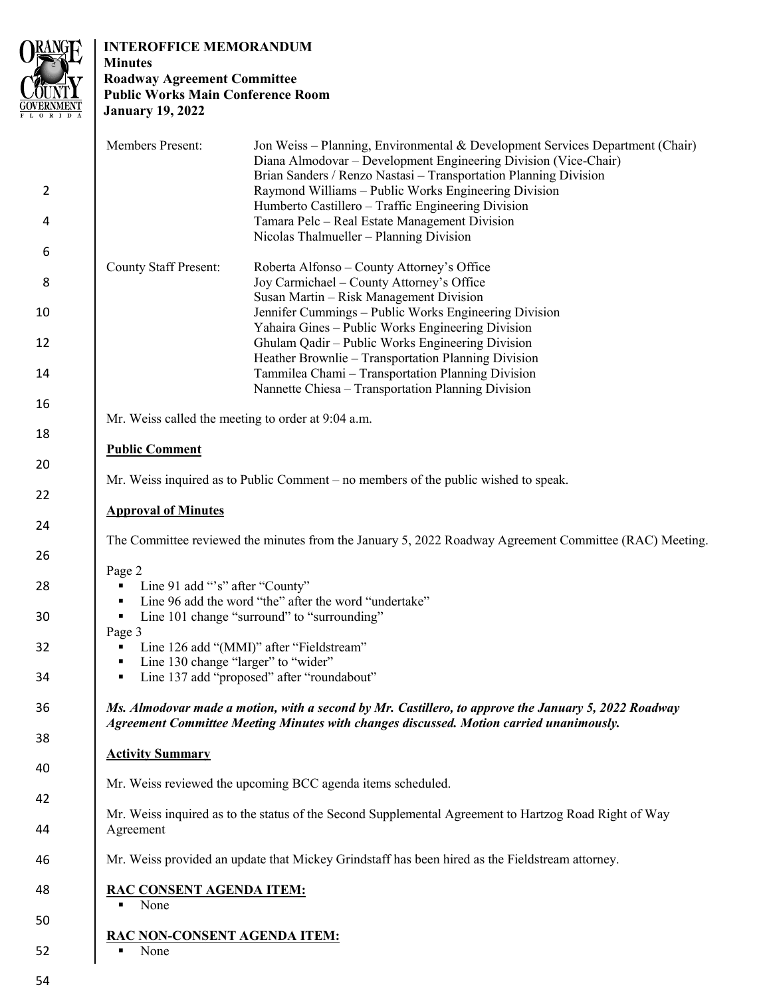

# **INTEROFFICE MEMORANDUM**

# **Minutes Roadway Agreement Committee Public Works Main Conference Room January 19, 2022**

|                     | Members Present:                                                                                                                                                                                | Jon Weiss – Planning, Environmental & Development Services Department (Chair)<br>Diana Almodovar – Development Engineering Division (Vice-Chair)<br>Brian Sanders / Renzo Nastasi - Transportation Planning Division |
|---------------------|-------------------------------------------------------------------------------------------------------------------------------------------------------------------------------------------------|----------------------------------------------------------------------------------------------------------------------------------------------------------------------------------------------------------------------|
| $\overline{2}$<br>4 |                                                                                                                                                                                                 | Raymond Williams - Public Works Engineering Division<br>Humberto Castillero - Traffic Engineering Division<br>Tamara Pelc - Real Estate Management Division                                                          |
| 6                   |                                                                                                                                                                                                 | Nicolas Thalmueller - Planning Division                                                                                                                                                                              |
| 8                   | <b>County Staff Present:</b>                                                                                                                                                                    | Roberta Alfonso - County Attorney's Office<br>Joy Carmichael - County Attorney's Office                                                                                                                              |
| 10                  |                                                                                                                                                                                                 | Susan Martin - Risk Management Division<br>Jennifer Cummings - Public Works Engineering Division<br>Yahaira Gines - Public Works Engineering Division                                                                |
| 12                  |                                                                                                                                                                                                 | Ghulam Qadir - Public Works Engineering Division<br>Heather Brownlie - Transportation Planning Division                                                                                                              |
| 14                  |                                                                                                                                                                                                 | Tammilea Chami - Transportation Planning Division<br>Nannette Chiesa - Transportation Planning Division                                                                                                              |
| 16<br>18            | Mr. Weiss called the meeting to order at 9:04 a.m.                                                                                                                                              |                                                                                                                                                                                                                      |
| 20                  | <b>Public Comment</b>                                                                                                                                                                           |                                                                                                                                                                                                                      |
| 22                  | Mr. Weiss inquired as to Public Comment - no members of the public wished to speak.                                                                                                             |                                                                                                                                                                                                                      |
|                     | <b>Approval of Minutes</b>                                                                                                                                                                      |                                                                                                                                                                                                                      |
| 24<br>26            | The Committee reviewed the minutes from the January 5, 2022 Roadway Agreement Committee (RAC) Meeting.                                                                                          |                                                                                                                                                                                                                      |
| 28                  | Page 2<br>Line 91 add "'s" after "County"<br>٠<br>Line 96 add the word "the" after the word "undertake"<br>٠                                                                                    |                                                                                                                                                                                                                      |
| 30                  | Line 101 change "surround" to "surrounding"<br>٠<br>Page 3                                                                                                                                      |                                                                                                                                                                                                                      |
| 32                  | Line 126 add "(MMI)" after "Fieldstream"<br>٠<br>Line 130 change "larger" to "wider"<br>٠                                                                                                       |                                                                                                                                                                                                                      |
| 34                  | Line 137 add "proposed" after "roundabout"<br>п                                                                                                                                                 |                                                                                                                                                                                                                      |
| 36                  | Ms. Almodovar made a motion, with a second by Mr. Castillero, to approve the January 5, 2022 Roadway<br>Agreement Committee Meeting Minutes with changes discussed. Motion carried unanimously. |                                                                                                                                                                                                                      |
| 38                  | <b>Activity Summary</b>                                                                                                                                                                         |                                                                                                                                                                                                                      |
| 40                  | Mr. Weiss reviewed the upcoming BCC agenda items scheduled.                                                                                                                                     |                                                                                                                                                                                                                      |
| 42                  |                                                                                                                                                                                                 |                                                                                                                                                                                                                      |
| 44                  | Mr. Weiss inquired as to the status of the Second Supplemental Agreement to Hartzog Road Right of Way<br>Agreement                                                                              |                                                                                                                                                                                                                      |
| 46                  | Mr. Weiss provided an update that Mickey Grindstaff has been hired as the Fieldstream attorney.                                                                                                 |                                                                                                                                                                                                                      |
| 48                  | RAC CONSENT AGENDA ITEM:<br>None                                                                                                                                                                |                                                                                                                                                                                                                      |
| 50                  |                                                                                                                                                                                                 |                                                                                                                                                                                                                      |
| 52                  | RAC NON-CONSENT AGENDA ITEM:<br>None                                                                                                                                                            |                                                                                                                                                                                                                      |

54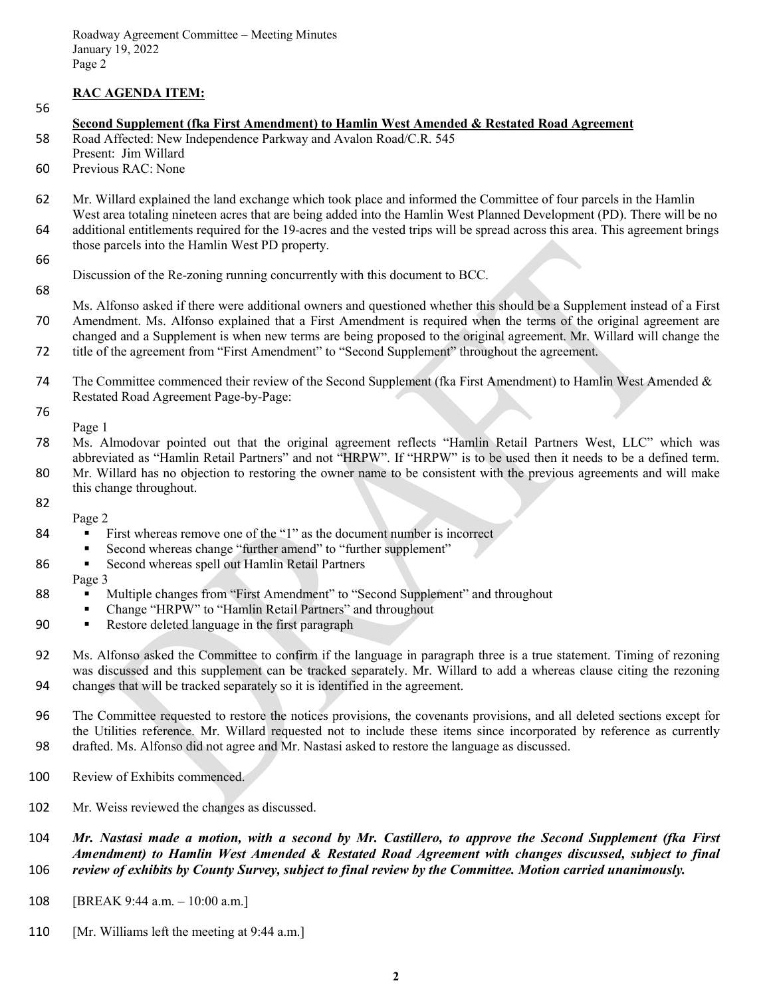# **RAC AGENDA ITEM:**

56

#### **Second Supplement (fka First Amendment) to Hamlin West Amended & Restated Road Agreement**

58 Road Affected: New Independence Parkway and Avalon Road/C.R. 545 58

- Present: Jim Willard
- 60 Previous RAC: None

62 Mr. Willard explained the land exchange which took place and informed the Committee of four parcels in the Hamlin West area totaling nineteen acres that are being added into the Hamlin West Planned Development (PD). There will be no 64 additional entitlements required for the 19-acres and the vested trips will be spread across this area. This agreement brings those parcels into the Hamlin West PD property. 62

66

Discussion of the Re-zoning running concurrently with this document to BCC.

68

Ms. Alfonso asked if there were additional owners and questioned whether this should be a Supplement instead of a First Amendment. Ms. Alfonso explained that a First Amendment is required when the terms of the original agreement are changed and a Supplement is when new terms are being proposed to the original agreement. Mr. Willard will change the 72 title of the agreement from "First Amendment" to "Second Supplement" throughout the agreement. 70

The Committee commenced their review of the Second Supplement (fka First Amendment) to Hamlin West Amended & Restated Road Agreement Page-by-Page: 74

76 Page 1

- 78 Ms. Almodovar pointed out that the original agreement reflects "Hamlin Retail Partners West, LLC" which was abbreviated as "Hamlin Retail Partners" and not "HRPW". If "HRPW" is to be used then it needs to be a defined term. 80 Mr. Willard has no objection to restoring the owner name to be consistent with the previous agreements and will make this change throughout. 78
- 82
	- Page 2
- 84 ∙ First whereas remove one of the "1" as the document number is incorrect
	- ∙ Second whereas change "further amend" to "further supplement"
- 86 ∙ Second whereas spell out Hamlin Retail Partners

### Page 3

88

- Multiple changes from "First Amendment" to "Second Supplement" and throughout
- ∙ Change "HRPW" to "Hamlin Retail Partners" and throughout
- 90 ∙ Restore deleted language in the first paragraph
- 92 Ms. Alfonso asked the Committee to confirm if the language in paragraph three is a true statement. Timing of rezoning was discussed and this supplement can be tracked separately. Mr. Willard to add a whereas clause citing the rezoning 94 changes that will be tracked separately so it is identified in the agreement.  $\sim$ to 94
- 96 The Committee requested to restore the notices provisions, the covenants provisions, and all deleted sections except for the Utilities reference. Mr. Willard requested not to include these items since incorporated by reference as currently 98 drafted. Ms. Alfonso did not agree and Mr. Nastasi asked to restore the language as discussed.  $\Omega$  $\overline{\phantom{a}}$
- Review of Exhibits commenced. Line 100
- Mr. Weiss reviewed the changes as discussed. Line 102
- 104 *Mr. Nastasi made a motion, with a second by Mr. Castillero, to approve the Second Supplement (fka First Amendment) to Hamlin West Amended & Restated Road Agreement with changes discussed, subject to final* 106 *review of exhibits by County Survey, subject to final review by the Committee. Motion carried unanimously.*  104  $\overline{\phantom{a}}$
- [BREAK 9:44 a.m.  $-10:00$  a.m.] 108
- [Mr. Williams left the meeting at  $9:44$  a.m.] line 110